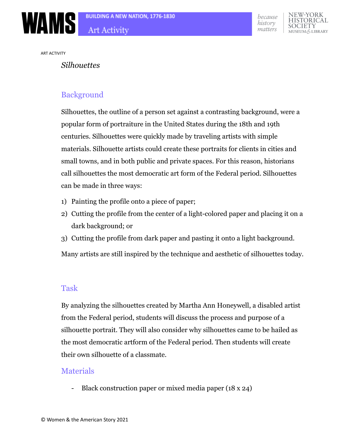

ART ACTIVITY

#### *Silhouettes*

## Background

Silhouettes, the outline of a person set against a contrasting background, were a popular form of portraiture in the United States during the 18th and 19th centuries. Silhouettes were quickly made by traveling artists with simple materials. Silhouette artists could create these portraits for clients in cities and small towns, and in both public and private spaces. For this reason, historians call silhouettes the most democratic art form of the Federal period. Silhouettes can be made in three ways:

- 1) Painting the profile onto a piece of paper;
- 2) Cutting the profile from the center of a light-colored paper and placing it on a dark background; or
- 3) Cutting the profile from dark paper and pasting it onto a light background.

Many artists are still inspired by the technique and aesthetic of silhouettes today.

#### Task

By analyzing the silhouettes created by Martha Ann Honeywell, a disabled artist from the Federal period, students will discuss the process and purpose of a silhouette portrait. They will also consider why silhouettes came to be hailed as the most democratic artform of the Federal period. Then students will create their own silhouette of a classmate.

### **Materials**

- Black construction paper or mixed media paper (18 x 24)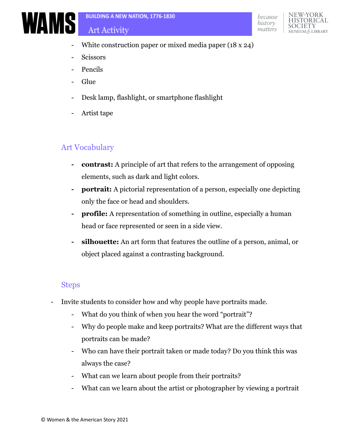# Art Activity





- White construction paper or mixed media paper (18 x 24)
- Scissors
- **Pencils**
- **Glue**
- Desk lamp, flashlight, or smartphone flashlight
- Artist tape

# Art Vocabulary

- **- contrast:** A principle of art that refers to the arrangement of opposing elements, such as dark and light colors.
- **- portrait:** A pictorial representation of a person, especially one depicting only the face or head and shoulders.
- **- profile:** A representation of something in outline, especially a human head or face represented or seen in a side view.
- **- silhouette:** An art form that features the outline of a person, animal, or object placed against a contrasting background.

## Steps

- Invite students to consider how and why people have portraits made.
	- What do you think of when you hear the word "portrait"?
	- Why do people make and keep portraits? What are the different ways that portraits can be made?
	- Who can have their portrait taken or made today? Do you think this was always the case?
	- What can we learn about people from their portraits?
	- What can we learn about the artist or photographer by viewing a portrait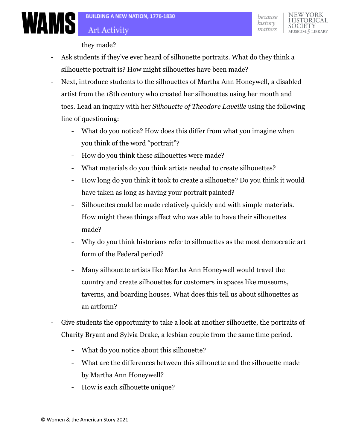they made?

- Ask students if they've ever heard of silhouette portraits. What do they think a silhouette portrait is? How might silhouettes have been made?
- Next, introduce students to the silhouettes of Martha Ann Honeywell, a disabled artist from the 18th century who created her silhouettes using her mouth and toes. Lead an inquiry with her *Silhouette of Theodore Laveille* using the following line of questioning:
	- What do you notice? How does this differ from what you imagine when you think of the word "portrait"?
	- How do you think these silhouettes were made?
	- What materials do you think artists needed to create silhouettes?
	- How long do you think it took to create a silhouette? Do you think it would have taken as long as having your portrait painted?
	- Silhouettes could be made relatively quickly and with simple materials. How might these things affect who was able to have their silhouettes made?
	- Why do you think historians refer to silhouettes as the most democratic art form of the Federal period?
	- Many silhouette artists like Martha Ann Honeywell would travel the country and create silhouettes for customers in spaces like museums, taverns, and boarding houses. What does this tell us about silhouettes as an artform?
- Give students the opportunity to take a look at another silhouette, the portraits of Charity Bryant and Sylvia Drake, a lesbian couple from the same time period.
	- What do you notice about this silhouette?
	- What are the differences between this silhouette and the silhouette made by Martha Ann Honeywell?
	- How is each silhouette unique?